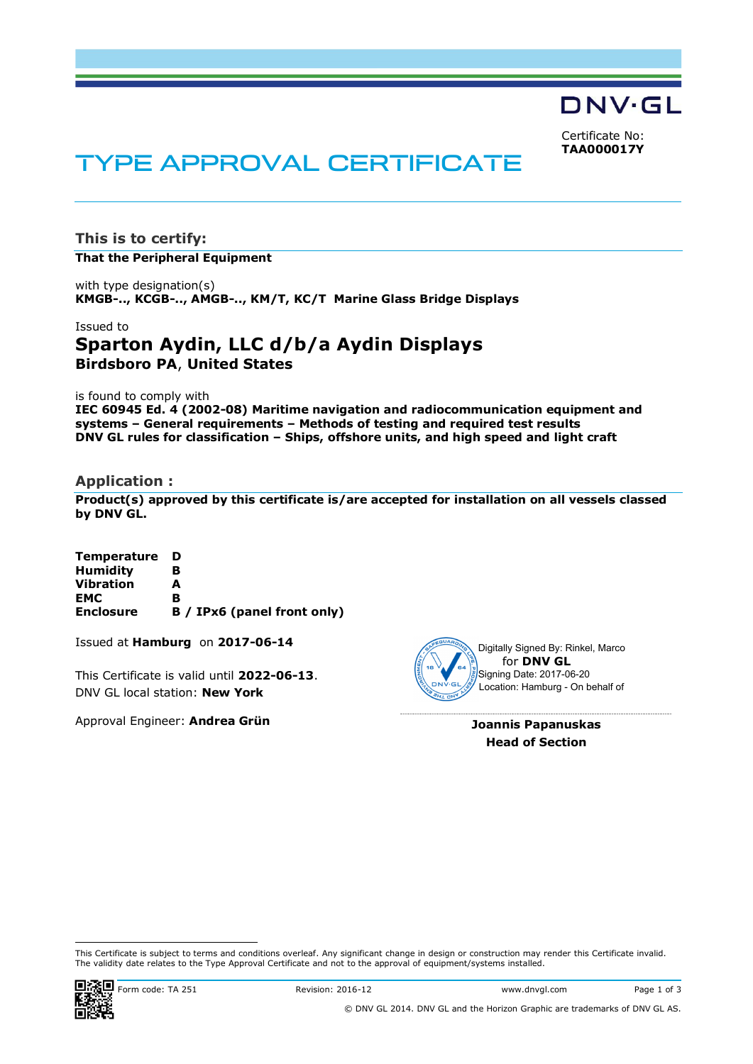DNV·GL

Certificate No: **TAA000017Y**

# TYPE APPROVAL CERTIFICATE

**This is to certify:**

**That the Peripheral Equipment**

with type designation(s) **KMGB-.., KCGB-.., AMGB-.., KM/T, KC/T Marine Glass Bridge Displays**

## Issued to **Sparton Aydin, LLC d/b/a Aydin Displays Birdsboro PA**, **United States**

is found to comply with

**IEC 60945 Ed. 4 (2002-08) Maritime navigation and radiocommunication equipment and systems – General requirements – Methods of testing and required test results DNV GL rules for classification – Ships, offshore units, and high speed and light craft**

#### **Application :**

**Product(s) approved by this certificate is/are accepted for installation on all vessels classed by DNV GL.**

| <b>Temperature</b> | D                           |
|--------------------|-----------------------------|
| <b>Humidity</b>    | в                           |
| <b>Vibration</b>   | А                           |
| EMC                | в                           |
| <b>Enclosure</b>   | B / IPx6 (panel front only) |

Issued at **Hamburg** on **2017-06-14**

This Certificate is valid until **2022-06-13**. DNV GL local station: **New York**

Approval Engineer: **Andrea Grün**



for **DNV GL** Digitally Signed By: Rinkel, Marco Signing Date: 2017-06-20 Location: Hamburg - On behalf of

**Joannis Papanuskas Head of Section**

This Certificate is subject to terms and conditions overleaf. Any significant change in design or construction may render this Certificate invalid. The validity date relates to the Type Approval Certificate and not to the approval of equipment/systems installed.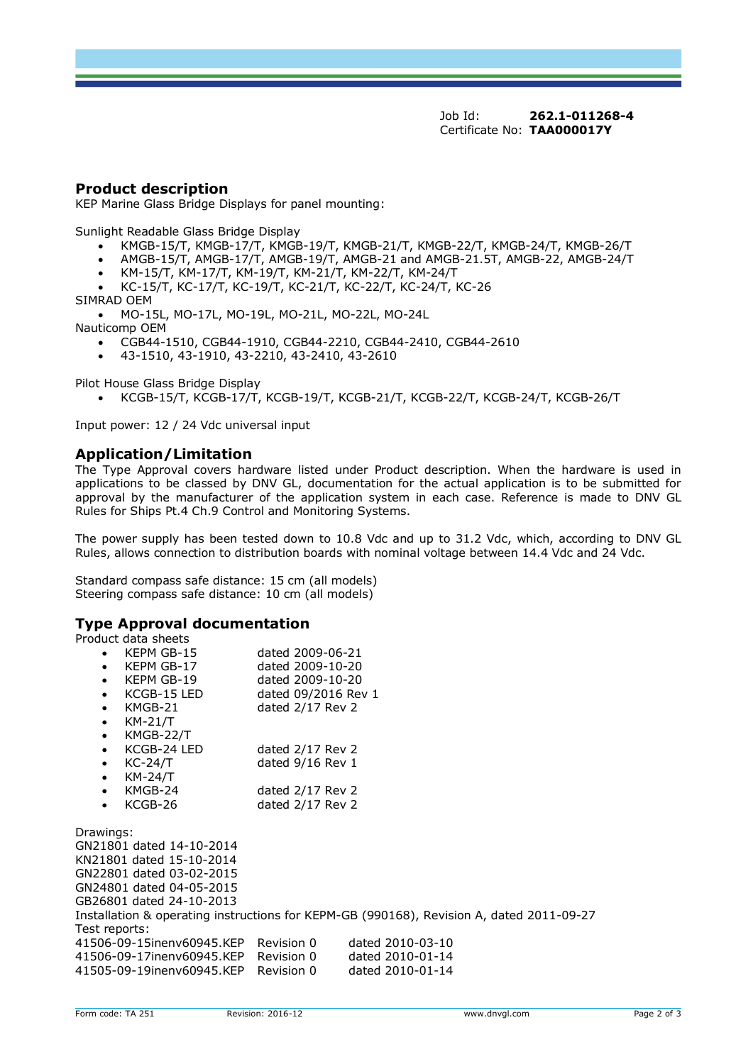Job Id: **262.1-011268-4** Certificate No: **TAA000017Y**

#### **Product description**

KEP Marine Glass Bridge Displays for panel mounting:

Sunlight Readable Glass Bridge Display

- · KMGB-15/T, KMGB-17/T, KMGB-19/T, KMGB-21/T, KMGB-22/T, KMGB-24/T, KMGB-26/T
- · AMGB-15/T, AMGB-17/T, AMGB-19/T, AMGB-21 and AMGB-21.5T, AMGB-22, AMGB-24/T
- · KM-15/T, KM-17/T, KM-19/T, KM-21/T, KM-22/T, KM-24/T
- · KC-15/T, KC-17/T, KC-19/T, KC-21/T, KC-22/T, KC-24/T, KC-26
- SIMRAD OEM

· MO-15L, MO-17L, MO-19L, MO-21L, MO-22L, MO-24L

- Nauticomp OEM
	- · CGB44-1510, CGB44-1910, CGB44-2210, CGB44-2410, CGB44-2610
	- · 43-1510, 43-1910, 43-2210, 43-2410, 43-2610

Pilot House Glass Bridge Display

· KCGB-15/T, KCGB-17/T, KCGB-19/T, KCGB-21/T, KCGB-22/T, KCGB-24/T, KCGB-26/T

Input power: 12 / 24 Vdc universal input

#### **Application/Limitation**

The Type Approval covers hardware listed under Product description. When the hardware is used in applications to be classed by DNV GL, documentation for the actual application is to be submitted for approval by the manufacturer of the application system in each case. Reference is made to DNV GL Rules for Ships Pt.4 Ch.9 Control and Monitoring Systems.

The power supply has been tested down to 10.8 Vdc and up to 31.2 Vdc, which, according to DNV GL Rules, allows connection to distribution boards with nominal voltage between 14.4 Vdc and 24 Vdc.

Standard compass safe distance: 15 cm (all models) Steering compass safe distance: 10 cm (all models)

#### **Type Approval documentation**

| Product data sheets                                                                      |                     |                  |  |  |  |
|------------------------------------------------------------------------------------------|---------------------|------------------|--|--|--|
| KEPM GB-15<br>$\bullet$                                                                  | dated 2009-06-21    |                  |  |  |  |
| KEPM GB-17<br>$\bullet$                                                                  | dated 2009-10-20    |                  |  |  |  |
| KEPM GB-19<br>$\bullet$                                                                  | dated 2009-10-20    |                  |  |  |  |
| KCGB-15 LED<br>$\bullet$                                                                 | dated 09/2016 Rev 1 |                  |  |  |  |
| KMGB-21<br>$\bullet$                                                                     | dated 2/17 Rev 2    |                  |  |  |  |
| KM-21/T<br>$\bullet$                                                                     |                     |                  |  |  |  |
| KMGB-22/T<br>$\bullet$                                                                   |                     |                  |  |  |  |
| KCGB-24 LED<br>$\bullet$                                                                 | dated 2/17 Rev 2    |                  |  |  |  |
| KC-24/T<br>$\bullet$                                                                     | dated 9/16 Rev 1    |                  |  |  |  |
| KM-24/T<br>$\bullet$                                                                     |                     |                  |  |  |  |
| KMGB-24<br>$\bullet$                                                                     | dated $2/17$ Rev 2  |                  |  |  |  |
| KCGB-26<br>$\bullet$                                                                     |                     |                  |  |  |  |
|                                                                                          | dated 2/17 Rev 2    |                  |  |  |  |
| Drawings:                                                                                |                     |                  |  |  |  |
| GN21801 dated 14-10-2014                                                                 |                     |                  |  |  |  |
| KN21801 dated 15-10-2014                                                                 |                     |                  |  |  |  |
|                                                                                          |                     |                  |  |  |  |
| GN22801 dated 03-02-2015                                                                 |                     |                  |  |  |  |
| GN24801 dated 04-05-2015                                                                 |                     |                  |  |  |  |
| GB26801 dated 24-10-2013                                                                 |                     |                  |  |  |  |
| Installation & operating instructions for KEPM-GB (990168), Revision A, dated 2011-09-27 |                     |                  |  |  |  |
| Test reports:                                                                            |                     |                  |  |  |  |
| 41506-09-15inenv60945.KEP Revision 0                                                     |                     | dated 2010-03-10 |  |  |  |
| 41506-09-17inenv60945.KEP Revision 0                                                     |                     | dated 2010-01-14 |  |  |  |
| 41505-09-19inenv60945.KEP Revision 0                                                     |                     | dated 2010-01-14 |  |  |  |
|                                                                                          |                     |                  |  |  |  |